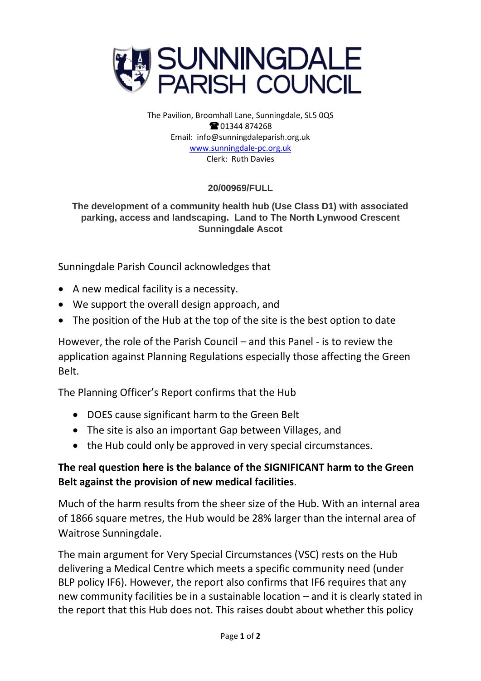

The Pavilion, Broomhall Lane, Sunningdale, SL5 0QS **@01344874268** Email: info@sunningdaleparish.org.uk [www.sunningdale-pc.org.uk](http://www.sunningdale-pc.org.uk/) Clerk: Ruth Davies

## **20/00969/FULL**

## **The development of a community health hub (Use Class D1) with associated parking, access and landscaping. Land to The North Lynwood Crescent Sunningdale Ascot**

Sunningdale Parish Council acknowledges that

- A new medical facility is a necessity.
- We support the overall design approach, and
- The position of the Hub at the top of the site is the best option to date

However, the role of the Parish Council – and this Panel - is to review the application against Planning Regulations especially those affecting the Green Belt.

The Planning Officer's Report confirms that the Hub

- DOES cause significant harm to the Green Belt
- The site is also an important Gap between Villages, and
- the Hub could only be approved in very special circumstances.

## **The real question here is the balance of the SIGNIFICANT harm to the Green Belt against the provision of new medical facilities**.

Much of the harm results from the sheer size of the Hub. With an internal area of 1866 square metres, the Hub would be 28% larger than the internal area of Waitrose Sunningdale.

The main argument for Very Special Circumstances (VSC) rests on the Hub delivering a Medical Centre which meets a specific community need (under BLP policy IF6). However, the report also confirms that IF6 requires that any new community facilities be in a sustainable location – and it is clearly stated in the report that this Hub does not. This raises doubt about whether this policy